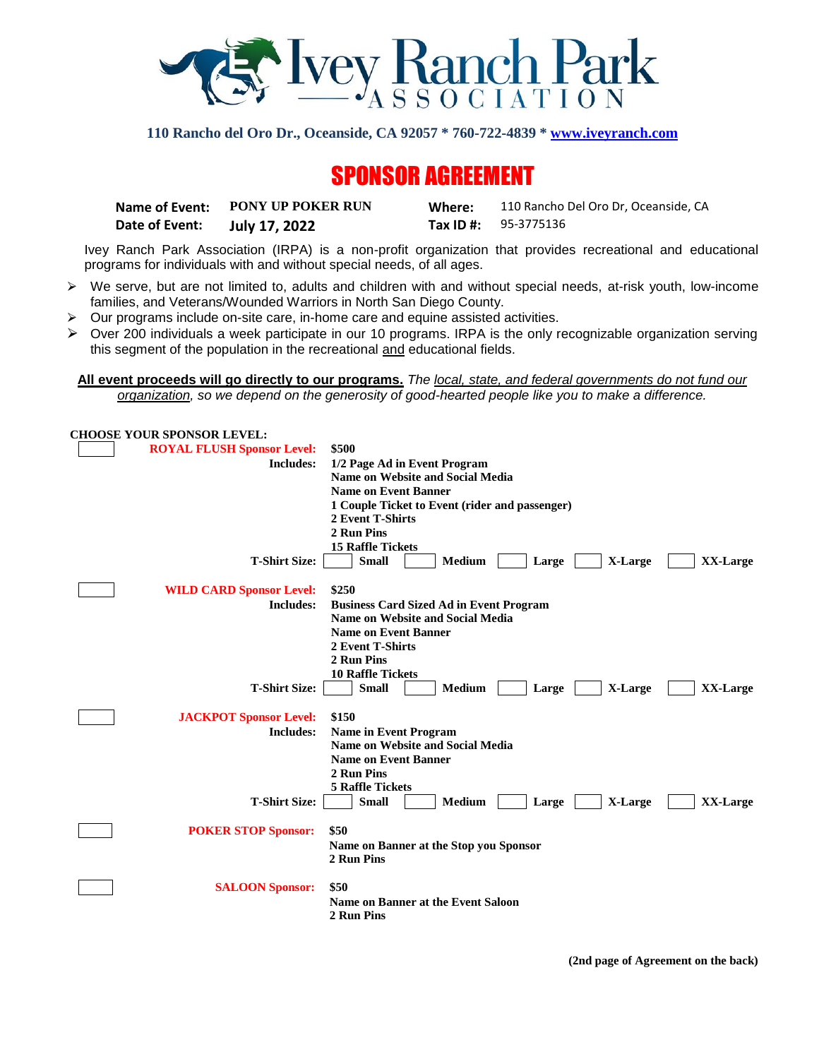

**110 Rancho del Oro Dr., Oceanside, CA 92057 \* 760-722-4839 [\\* www.iveyranch.com](http://www.iveyranch.com/)**

# SPONSOR AGREEMENT

|                | Name of Event: PONY UP POKER RUN | Where: | 110 Rancho Del Oro Dr. Oceanside. CA |
|----------------|----------------------------------|--------|--------------------------------------|
| Date of Event: | July 17, 2022                    |        | <b>Tax ID #:</b> 95-3775136          |

Ivey Ranch Park Association (IRPA) is a non-profit organization that provides recreational and educational programs for individuals with and without special needs, of all ages.

- $\triangleright$  We serve, but are not limited to, adults and children with and without special needs, at-risk youth, low-income families, and Veterans/Wounded Warriors in North San Diego County.
- $\triangleright$  Our programs include on-site care, in-home care and equine assisted activities.
- $\triangleright$  Over 200 individuals a week participate in our 10 programs. IRPA is the only recognizable organization serving this segment of the population in the recreational and educational fields.

**All event proceeds will go directly to our programs.** *The local, state, and federal governments do not fund our organization, so we depend on the generosity of good-hearted people like you to make a difference.*

| <b>CHOOSE YOUR SPONSOR LEVEL:</b>       |                                                                                  |  |  |  |  |
|-----------------------------------------|----------------------------------------------------------------------------------|--|--|--|--|
| <b>ROYAL FLUSH Sponsor Level:</b>       | \$500                                                                            |  |  |  |  |
| <b>Includes:</b>                        | 1/2 Page Ad in Event Program                                                     |  |  |  |  |
|                                         | <b>Name on Website and Social Media</b>                                          |  |  |  |  |
|                                         | <b>Name on Event Banner</b>                                                      |  |  |  |  |
|                                         | 1 Couple Ticket to Event (rider and passenger)<br>2 Event T-Shirts<br>2 Run Pins |  |  |  |  |
|                                         |                                                                                  |  |  |  |  |
|                                         |                                                                                  |  |  |  |  |
|                                         | <b>15 Raffle Tickets</b>                                                         |  |  |  |  |
| <b>T-Shirt Size:</b>                    | <b>Small</b><br><b>Medium</b><br>Large<br>X-Large<br>XX-Large                    |  |  |  |  |
|                                         |                                                                                  |  |  |  |  |
| <b>WILD CARD Sponsor Level:</b>         | \$250                                                                            |  |  |  |  |
| <b>Includes:</b>                        | <b>Business Card Sized Ad in Event Program</b>                                   |  |  |  |  |
|                                         | <b>Name on Website and Social Media</b>                                          |  |  |  |  |
|                                         | <b>Name on Event Banner</b>                                                      |  |  |  |  |
|                                         | 2 Event T-Shirts                                                                 |  |  |  |  |
|                                         | 2 Run Pins                                                                       |  |  |  |  |
|                                         | <b>10 Raffle Tickets</b>                                                         |  |  |  |  |
| <b>T-Shirt Size:</b>                    | <b>Small</b><br><b>Medium</b><br>X-Large<br>XX-Large<br>Large                    |  |  |  |  |
|                                         |                                                                                  |  |  |  |  |
| <b>JACKPOT Sponsor Level:</b>           | \$150                                                                            |  |  |  |  |
| <b>Includes:</b>                        | <b>Name in Event Program</b>                                                     |  |  |  |  |
| <b>Name on Website and Social Media</b> |                                                                                  |  |  |  |  |
|                                         | <b>Name on Event Banner</b>                                                      |  |  |  |  |
|                                         | 2 Run Pins                                                                       |  |  |  |  |
|                                         | <b>5 Raffle Tickets</b>                                                          |  |  |  |  |
| <b>T-Shirt Size:</b>                    | <b>Small</b><br><b>Medium</b><br>X-Large<br>XX-Large<br>Large                    |  |  |  |  |
|                                         |                                                                                  |  |  |  |  |
| <b>POKER STOP Sponsor:</b>              | \$50                                                                             |  |  |  |  |
|                                         |                                                                                  |  |  |  |  |
|                                         | Name on Banner at the Stop you Sponsor                                           |  |  |  |  |
|                                         | 2 Run Pins                                                                       |  |  |  |  |
|                                         | \$50                                                                             |  |  |  |  |
| <b>SALOON Sponsor:</b>                  |                                                                                  |  |  |  |  |
|                                         | <b>Name on Banner at the Event Saloon</b>                                        |  |  |  |  |
|                                         | 2 Run Pins                                                                       |  |  |  |  |
|                                         |                                                                                  |  |  |  |  |